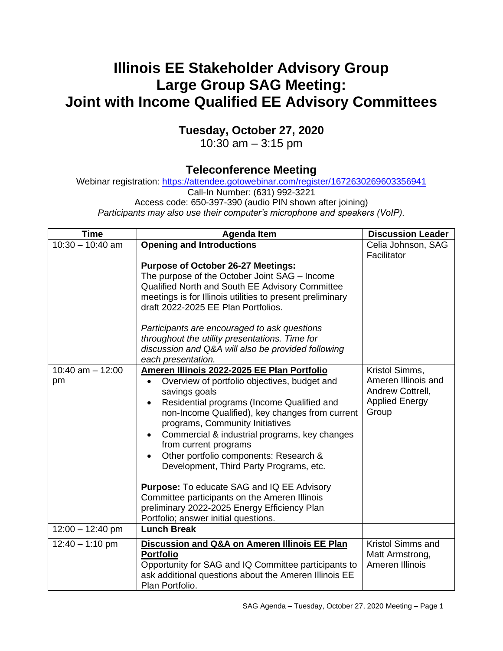## **Illinois EE Stakeholder Advisory Group Large Group SAG Meeting: Joint with Income Qualified EE Advisory Committees**

## **Tuesday, October 27, 2020**

10:30 am – 3:15 pm

## **Teleconference Meeting**

Webinar registration:<https://attendee.gotowebinar.com/register/1672630269603356941>

Call-In Number: (631) 992-3221

Access code: 650-397-390 (audio PIN shown after joining)

*Participants may also use their computer's microphone and speakers (VoIP).*

| <b>Time</b>              | <b>Agenda Item</b>                                                                                                                                                                                                                                                                                                                                                                                                                                                                                                                                                                                                                                         | <b>Discussion Leader</b>                                                                    |
|--------------------------|------------------------------------------------------------------------------------------------------------------------------------------------------------------------------------------------------------------------------------------------------------------------------------------------------------------------------------------------------------------------------------------------------------------------------------------------------------------------------------------------------------------------------------------------------------------------------------------------------------------------------------------------------------|---------------------------------------------------------------------------------------------|
| $10:30 - 10:40$ am       | <b>Opening and Introductions</b><br><b>Purpose of October 26-27 Meetings:</b><br>The purpose of the October Joint SAG - Income<br>Qualified North and South EE Advisory Committee<br>meetings is for Illinois utilities to present preliminary<br>draft 2022-2025 EE Plan Portfolios.<br>Participants are encouraged to ask questions<br>throughout the utility presentations. Time for<br>discussion and Q&A will also be provided following<br>each presentation.                                                                                                                                                                                        | Celia Johnson, SAG<br>Facilitator                                                           |
| 10:40 am $-$ 12:00<br>pm | Ameren Illinois 2022-2025 EE Plan Portfolio<br>Overview of portfolio objectives, budget and<br>$\bullet$<br>savings goals<br>Residential programs (Income Qualified and<br>$\bullet$<br>non-Income Qualified), key changes from current<br>programs, Community Initiatives<br>Commercial & industrial programs, key changes<br>$\bullet$<br>from current programs<br>Other portfolio components: Research &<br>$\bullet$<br>Development, Third Party Programs, etc.<br>Purpose: To educate SAG and IQ EE Advisory<br>Committee participants on the Ameren Illinois<br>preliminary 2022-2025 Energy Efficiency Plan<br>Portfolio; answer initial questions. | Kristol Simms,<br>Ameren Illinois and<br>Andrew Cottrell,<br><b>Applied Energy</b><br>Group |
| $12:00 - 12:40$ pm       | <b>Lunch Break</b>                                                                                                                                                                                                                                                                                                                                                                                                                                                                                                                                                                                                                                         |                                                                                             |
| $12:40 - 1:10$ pm        | Discussion and Q&A on Ameren Illinois EE Plan<br><b>Portfolio</b><br>Opportunity for SAG and IQ Committee participants to<br>ask additional questions about the Ameren Illinois EE<br>Plan Portfolio.                                                                                                                                                                                                                                                                                                                                                                                                                                                      | Kristol Simms and<br>Matt Armstrong,<br>Ameren Illinois                                     |